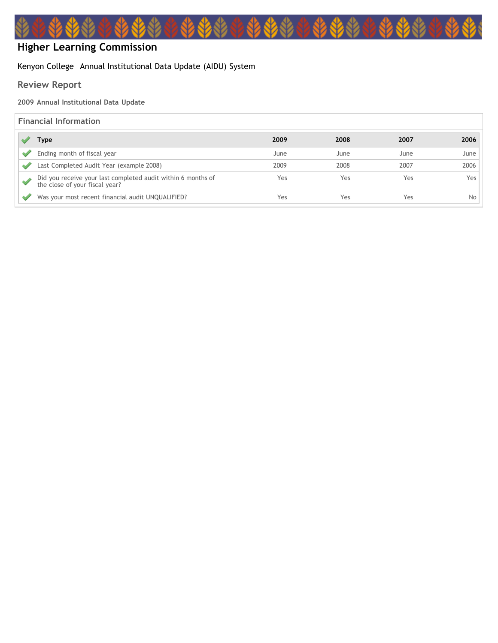# **Higher Learning Commission**

## Kenyon College Annual Institutional Data Update (AIDU) System

# **Review Report**

#### **2009 Annual Institutional Data Update**

## **Financial Information**

| Type                                                                                           | 2009 | 2008 | 2007 | 2006 |
|------------------------------------------------------------------------------------------------|------|------|------|------|
| Ending month of fiscal year                                                                    | June | June | June | June |
| Last Completed Audit Year (example 2008)                                                       | 2009 | 2008 | 2007 | 2006 |
| Did you receive your last completed audit within 6 months of<br>the close of your fiscal year? | Yes  | Yes  | Yes  | Yes. |
| Was your most recent financial audit UNQUALIFIED?                                              | Yes  | Yes  | Yes  | No.  |

YAY

\*\*\*\*\*\*\*\*\*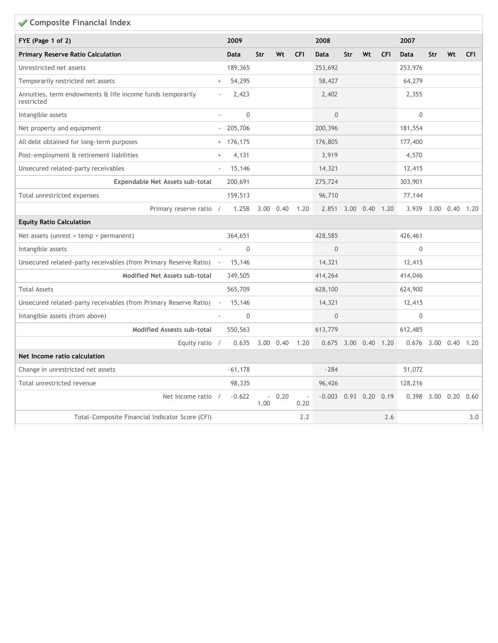| ◆ Composite Financial Index                                              |                                  |                  |                                  |                   |            |                      |                |    |            |                      |           |    |            |
|--------------------------------------------------------------------------|----------------------------------|------------------|----------------------------------|-------------------|------------|----------------------|----------------|----|------------|----------------------|-----------|----|------------|
| FYE (Page 1 of 2)                                                        |                                  | 2009             |                                  |                   |            | 2008                 |                |    |            | 2007                 |           |    |            |
| <b>Primary Reserve Ratio Calculation</b>                                 |                                  | <b>Data</b>      | Str                              | Wt                | <b>CFI</b> | <b>Data</b>          | Str            | Wt | <b>CFI</b> | <b>Data</b>          | Str       | Wt | <b>CFI</b> |
| Unrestricted net assets                                                  |                                  | 189,365          |                                  |                   |            | 253,692              |                |    |            | 253,976              |           |    |            |
| Temporarily restricted net assets                                        | $^{+}$                           | 54,295           |                                  |                   |            | 58,427               |                |    |            | 64,279               |           |    |            |
| Annuities, term endowments & life income funds temporarily<br>restricted |                                  | 2,423            |                                  |                   |            | 2,402                |                |    |            | 2,355                |           |    |            |
| Intangible assets                                                        |                                  | $\boldsymbol{0}$ |                                  |                   |            | $\overline{0}$       |                |    |            | $\boldsymbol{0}$     |           |    |            |
| Net property and equipment                                               |                                  | 205,706          |                                  |                   |            | 200,396              |                |    |            | 181,554              |           |    |            |
| All debt obtained for long-term purposes                                 |                                  | $+ 176,175$      |                                  |                   |            | 176,805              |                |    |            | 177,400              |           |    |            |
| Post-employment & retirement liabilities                                 | $\begin{array}{c} + \end{array}$ | 4,131            |                                  |                   |            | 3,919                |                |    |            | 4,570                |           |    |            |
| Unsecured related-party receivables                                      |                                  | 15,146           |                                  |                   |            | 14,321               |                |    |            | 12,415               |           |    |            |
| Expendable Net Assets sub-total                                          |                                  | 200,691          |                                  |                   |            | 275,724              |                |    |            | 303,901              |           |    |            |
| Total unrestricted expenses                                              |                                  | 159,513          |                                  |                   |            | 96,710               |                |    |            | 77,144               |           |    |            |
| Primary reserve ratio /                                                  |                                  | 1.258            |                                  | $3.00 \quad 0.40$ | 1.20       | 2.851 3.00 0.40 1.20 |                |    |            | 3.939 3.00 0.40 1.20 |           |    |            |
| <b>Equity Ratio Calculation</b>                                          |                                  |                  |                                  |                   |            |                      |                |    |            |                      |           |    |            |
| Net assets (unrest + temp + permanent)                                   |                                  | 364,651          |                                  |                   |            | 428,585              |                |    |            | 426,461              |           |    |            |
| Intangible assets                                                        |                                  | $\mathbf{0}$     |                                  |                   |            | $\Omega$             |                |    |            | $\mathbf 0$          |           |    |            |
| Unsecured related-party receivables (from Primary Reserve Ratio) -       |                                  | 15,146           |                                  |                   |            | 14,321               |                |    |            | 12,415               |           |    |            |
| Modified Net Assets sub-total                                            |                                  | 349,505          |                                  |                   |            | 414,264              |                |    |            | 414,046              |           |    |            |
| <b>Total Assets</b>                                                      |                                  | 565,709          |                                  |                   |            | 628,100              |                |    |            | 624,900              |           |    |            |
| Unsecured related-party receivables (from Primary Reserve Ratio)         |                                  | 15,146           |                                  |                   |            | 14,321               |                |    |            | 12,415               |           |    |            |
| Intangible assets (from above)                                           |                                  | $\mathbf 0$      |                                  |                   |            | $\Omega$             |                |    |            | $\mathbf{0}$         |           |    |            |
| <b>Modified Assests sub-total</b>                                        |                                  | 550,563          |                                  |                   |            | 613,779              |                |    |            | 612,485              |           |    |            |
| Equity ratio /                                                           |                                  | 0.635            |                                  | 3.00 0.40         | 1.20       | 0.675                | 3.00 0.40 1.20 |    |            | $0.676$ 3.00 0.40    |           |    | 1.20       |
| Net Income ratio calculation                                             |                                  |                  |                                  |                   |            |                      |                |    |            |                      |           |    |            |
| Change in unrestricted net assets                                        |                                  | $-61,178$        |                                  |                   |            | $-284$               |                |    |            | 51,072               |           |    |            |
| Total unrestricted revenue                                               |                                  | 98,335           |                                  |                   |            | 96,426               |                |    |            | 128,216              |           |    |            |
| Net Income ratio /                                                       |                                  | $-0.622$         | $\overline{\phantom{a}}$<br>1.00 | 0.20              | 0.20       | $-0.003$             | $0.93$ 0.20    |    | 0.19       | 0.398                | 3.00 0.20 |    | 0.60       |
| Total-Composite Financial Indicator Score (CFI)                          |                                  |                  |                                  |                   | 2.2        |                      |                |    | 2.6        |                      |           |    | 3.0        |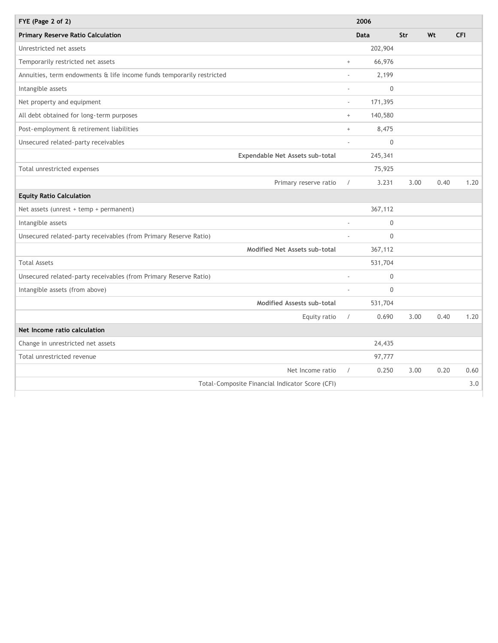| FYE (Page 2 of 2)                                                     |                 | 2006         |      |      |            |
|-----------------------------------------------------------------------|-----------------|--------------|------|------|------------|
| <b>Primary Reserve Ratio Calculation</b>                              |                 | <b>Data</b>  | Str  | Wt   | <b>CFI</b> |
| Unrestricted net assets                                               |                 | 202,904      |      |      |            |
| Temporarily restricted net assets                                     | $\! + \!\!\!\!$ | 66,976       |      |      |            |
| Annuities, term endowments & life income funds temporarily restricted |                 | 2,199        |      |      |            |
| Intangible assets                                                     | ÷,              | $\Omega$     |      |      |            |
| Net property and equipment                                            | $\sim$          | 171,395      |      |      |            |
| All debt obtained for long-term purposes                              | $+$             | 140,580      |      |      |            |
| Post-employment & retirement liabilities                              | $\! + \!\!\!\!$ | 8,475        |      |      |            |
| Unsecured related-party receivables                                   | ×.              | $\Omega$     |      |      |            |
| Expendable Net Assets sub-total                                       |                 | 245,341      |      |      |            |
| Total unrestricted expenses                                           |                 | 75,925       |      |      |            |
| Primary reserve ratio                                                 | $\sqrt{2}$      | 3.231        | 3.00 | 0.40 | 1.20       |
| <b>Equity Ratio Calculation</b>                                       |                 |              |      |      |            |
| Net assets (unrest + temp + permanent)                                |                 | 367,112      |      |      |            |
| Intangible assets                                                     | ÷               | $\Omega$     |      |      |            |
| Unsecured related-party receivables (from Primary Reserve Ratio)      |                 | $\Omega$     |      |      |            |
| Modified Net Assets sub-total                                         |                 | 367,112      |      |      |            |
| <b>Total Assets</b>                                                   |                 | 531,704      |      |      |            |
| Unsecured related-party receivables (from Primary Reserve Ratio)      | ä,              | $\mathbf{0}$ |      |      |            |
| Intangible assets (from above)                                        |                 | $\Omega$     |      |      |            |
| Modified Assests sub-total                                            |                 | 531,704      |      |      |            |
| Equity ratio                                                          | $\sqrt{2}$      | 0.690        | 3.00 | 0.40 | 1.20       |
| Net Income ratio calculation                                          |                 |              |      |      |            |
| Change in unrestricted net assets                                     |                 | 24,435       |      |      |            |
| Total unrestricted revenue                                            |                 | 97,777       |      |      |            |
| Net Income ratio                                                      | $\sqrt{2}$      | 0.250        | 3.00 | 0.20 | 0.60       |
| Total-Composite Financial Indicator Score (CFI)                       |                 |              |      |      | 3.0        |